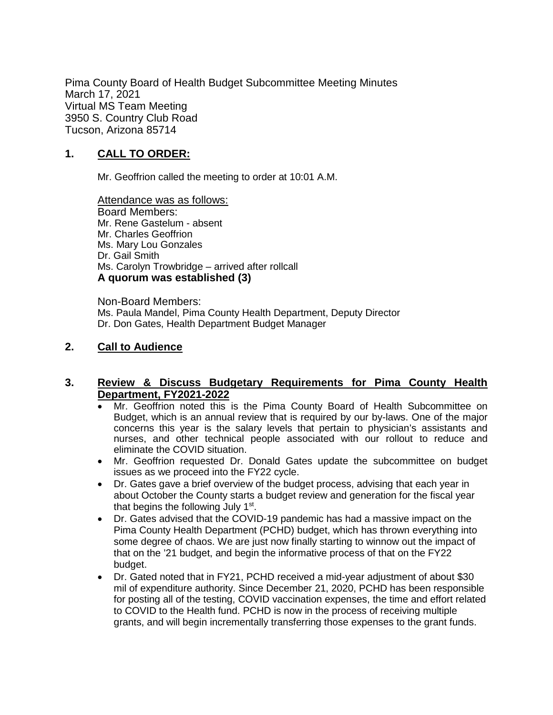Pima County Board of Health Budget Subcommittee Meeting Minutes March 17, 2021 Virtual MS Team Meeting 3950 S. Country Club Road Tucson, Arizona 85714

## **1. CALL TO ORDER:**

Mr. Geoffrion called the meeting to order at 10:01 A.M.

Attendance was as follows: Board Members: Mr. Rene Gastelum - absent Mr. Charles Geoffrion Ms. Mary Lou Gonzales Dr. Gail Smith Ms. Carolyn Trowbridge – arrived after rollcall **A quorum was established (3)**

Non-Board Members: Ms. Paula Mandel, Pima County Health Department, Deputy Director Dr. Don Gates, Health Department Budget Manager

## **2. Call to Audience**

### **3. Review & Discuss Budgetary Requirements for Pima County Health Department, FY2021-2022**

- Mr. Geoffrion noted this is the Pima County Board of Health Subcommittee on Budget, which is an annual review that is required by our by-laws. One of the major concerns this year is the salary levels that pertain to physician's assistants and nurses, and other technical people associated with our rollout to reduce and eliminate the COVID situation.
- Mr. Geoffrion requested Dr. Donald Gates update the subcommittee on budget issues as we proceed into the FY22 cycle.
- Dr. Gates gave a brief overview of the budget process, advising that each year in about October the County starts a budget review and generation for the fiscal year that begins the following July 1st.
- Dr. Gates advised that the COVID-19 pandemic has had a massive impact on the Pima County Health Department (PCHD) budget, which has thrown everything into some degree of chaos. We are just now finally starting to winnow out the impact of that on the '21 budget, and begin the informative process of that on the FY22 budget.
- Dr. Gated noted that in FY21, PCHD received a mid-year adjustment of about \$30 mil of expenditure authority. Since December 21, 2020, PCHD has been responsible for posting all of the testing, COVID vaccination expenses, the time and effort related to COVID to the Health fund. PCHD is now in the process of receiving multiple grants, and will begin incrementally transferring those expenses to the grant funds.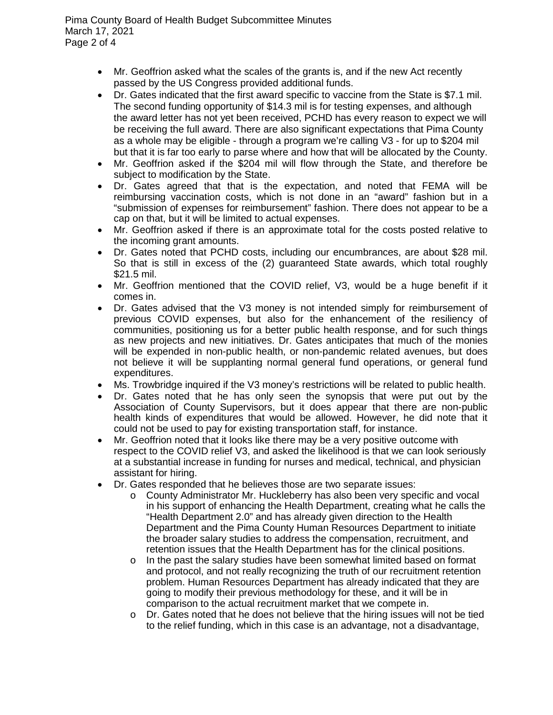Pima County Board of Health Budget Subcommittee Minutes March 17, 2021 Page 2 of 4

- Mr. Geoffrion asked what the scales of the grants is, and if the new Act recently passed by the US Congress provided additional funds.
- Dr. Gates indicated that the first award specific to vaccine from the State is \$7.1 mil. The second funding opportunity of \$14.3 mil is for testing expenses, and although the award letter has not yet been received, PCHD has every reason to expect we will be receiving the full award. There are also significant expectations that Pima County as a whole may be eligible - through a program we're calling V3 - for up to \$204 mil but that it is far too early to parse where and how that will be allocated by the County.
- Mr. Geoffrion asked if the \$204 mil will flow through the State, and therefore be subject to modification by the State.
- Dr. Gates agreed that that is the expectation, and noted that FEMA will be reimbursing vaccination costs, which is not done in an "award" fashion but in a "submission of expenses for reimbursement" fashion. There does not appear to be a cap on that, but it will be limited to actual expenses.
- Mr. Geoffrion asked if there is an approximate total for the costs posted relative to the incoming grant amounts.
- Dr. Gates noted that PCHD costs, including our encumbrances, are about \$28 mil. So that is still in excess of the (2) guaranteed State awards, which total roughly \$21.5 mil.
- Mr. Geoffrion mentioned that the COVID relief, V3, would be a huge benefit if it comes in.
- Dr. Gates advised that the V3 money is not intended simply for reimbursement of previous COVID expenses, but also for the enhancement of the resiliency of communities, positioning us for a better public health response, and for such things as new projects and new initiatives. Dr. Gates anticipates that much of the monies will be expended in non-public health, or non-pandemic related avenues, but does not believe it will be supplanting normal general fund operations, or general fund expenditures.
- Ms. Trowbridge inquired if the V3 money's restrictions will be related to public health.
- Dr. Gates noted that he has only seen the synopsis that were put out by the Association of County Supervisors, but it does appear that there are non-public health kinds of expenditures that would be allowed. However, he did note that it could not be used to pay for existing transportation staff, for instance.
- Mr. Geoffrion noted that it looks like there may be a very positive outcome with respect to the COVID relief V3, and asked the likelihood is that we can look seriously at a substantial increase in funding for nurses and medical, technical, and physician assistant for hiring.
- Dr. Gates responded that he believes those are two separate issues:
	- o County Administrator Mr. Huckleberry has also been very specific and vocal in his support of enhancing the Health Department, creating what he calls the "Health Department 2.0" and has already given direction to the Health Department and the Pima County Human Resources Department to initiate the broader salary studies to address the compensation, recruitment, and retention issues that the Health Department has for the clinical positions.
	- $\circ$  In the past the salary studies have been somewhat limited based on format and protocol, and not really recognizing the truth of our recruitment retention problem. Human Resources Department has already indicated that they are going to modify their previous methodology for these, and it will be in comparison to the actual recruitment market that we compete in.
	- o Dr. Gates noted that he does not believe that the hiring issues will not be tied to the relief funding, which in this case is an advantage, not a disadvantage,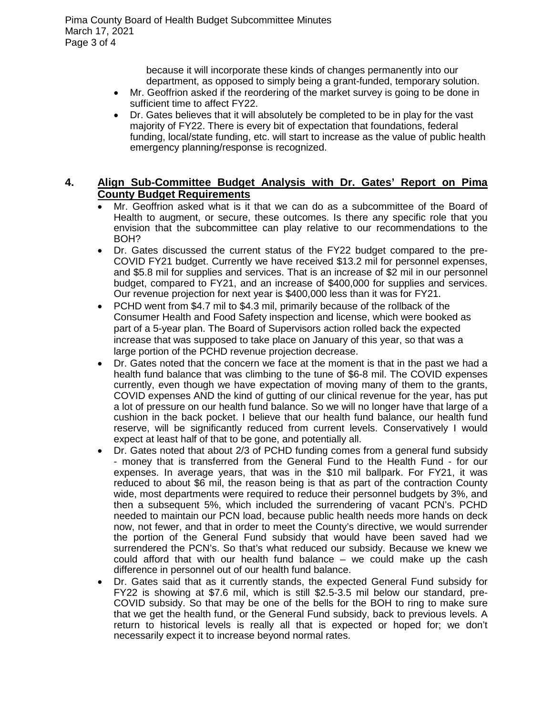because it will incorporate these kinds of changes permanently into our department, as opposed to simply being a grant-funded, temporary solution.

- Mr. Geoffrion asked if the reordering of the market survey is going to be done in sufficient time to affect FY22.
- Dr. Gates believes that it will absolutely be completed to be in play for the vast majority of FY22. There is every bit of expectation that foundations, federal funding, local/state funding, etc. will start to increase as the value of public health emergency planning/response is recognized.

## **4. Align Sub-Committee Budget Analysis with Dr. Gates' Report on Pima County Budget Requirements**

- Mr. Geoffrion asked what is it that we can do as a subcommittee of the Board of Health to augment, or secure, these outcomes. Is there any specific role that you envision that the subcommittee can play relative to our recommendations to the BOH?
- Dr. Gates discussed the current status of the FY22 budget compared to the pre-COVID FY21 budget. Currently we have received \$13.2 mil for personnel expenses, and \$5.8 mil for supplies and services. That is an increase of \$2 mil in our personnel budget, compared to FY21, and an increase of \$400,000 for supplies and services. Our revenue projection for next year is \$400,000 less than it was for FY21.
- PCHD went from \$4.7 mil to \$4.3 mil, primarily because of the rollback of the Consumer Health and Food Safety inspection and license, which were booked as part of a 5-year plan. The Board of Supervisors action rolled back the expected increase that was supposed to take place on January of this year, so that was a large portion of the PCHD revenue projection decrease.
- Dr. Gates noted that the concern we face at the moment is that in the past we had a health fund balance that was climbing to the tune of \$6-8 mil. The COVID expenses currently, even though we have expectation of moving many of them to the grants, COVID expenses AND the kind of gutting of our clinical revenue for the year, has put a lot of pressure on our health fund balance. So we will no longer have that large of a cushion in the back pocket. I believe that our health fund balance, our health fund reserve, will be significantly reduced from current levels. Conservatively I would expect at least half of that to be gone, and potentially all.
- Dr. Gates noted that about 2/3 of PCHD funding comes from a general fund subsidy - money that is transferred from the General Fund to the Health Fund - for our expenses. In average years, that was in the \$10 mil ballpark. For FY21, it was reduced to about \$6 mil, the reason being is that as part of the contraction County wide, most departments were required to reduce their personnel budgets by 3%, and then a subsequent 5%, which included the surrendering of vacant PCN's. PCHD needed to maintain our PCN load, because public health needs more hands on deck now, not fewer, and that in order to meet the County's directive, we would surrender the portion of the General Fund subsidy that would have been saved had we surrendered the PCN's. So that's what reduced our subsidy. Because we knew we could afford that with our health fund balance – we could make up the cash difference in personnel out of our health fund balance.
- Dr. Gates said that as it currently stands, the expected General Fund subsidy for FY22 is showing at \$7.6 mil, which is still \$2.5-3.5 mil below our standard, pre-COVID subsidy. So that may be one of the bells for the BOH to ring to make sure that we get the health fund, or the General Fund subsidy, back to previous levels. A return to historical levels is really all that is expected or hoped for; we don't necessarily expect it to increase beyond normal rates.